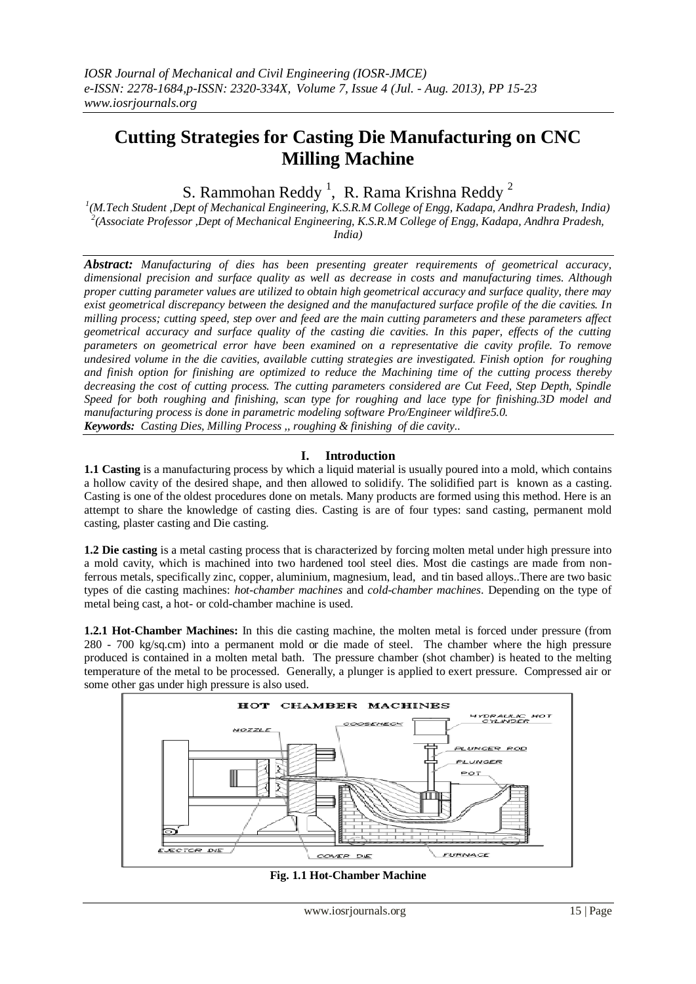# **Cutting Strategies for Casting Die Manufacturing on CNC Milling Machine**

S. Rammohan Reddy<sup>1</sup>, R. Rama Krishna Reddy<sup>2</sup>

*1 (M.Tech Student ,Dept of Mechanical Engineering, K.S.R.M College of Engg, Kadapa, Andhra Pradesh, India) 2 (Associate Professor ,Dept of Mechanical Engineering, K.S.R.M College of Engg, Kadapa, Andhra Pradesh, India)*

*Abstract: Manufacturing of dies has been presenting greater requirements of geometrical accuracy, dimensional precision and surface quality as well as decrease in costs and manufacturing times. Although proper cutting parameter values are utilized to obtain high geometrical accuracy and surface quality, there may exist geometrical discrepancy between the designed and the manufactured surface profile of the die cavities. In milling process; cutting speed, step over and feed are the main cutting parameters and these parameters affect geometrical accuracy and surface quality of the casting die cavities. In this paper, effects of the cutting parameters on geometrical error have been examined on a representative die cavity profile. To remove undesired volume in the die cavities, available cutting strategies are investigated. Finish option for roughing and finish option for finishing are optimized to reduce the Machining time of the cutting process thereby decreasing the cost of cutting process. The cutting parameters considered are Cut Feed, Step Depth, Spindle Speed for both roughing and finishing, scan type for roughing and lace type for finishing.3D model and manufacturing process is done in parametric modeling software Pro/Engineer wildfire5.0. Keywords: Casting Dies, Milling Process ,, roughing & finishing of die cavity..*

## **I. Introduction**

**1.1 Casting** is a [manufacturing](http://en.wikipedia.org/wiki/Manufacturing) process by which a liquid material is usually poured into a [mold,](http://en.wikipedia.org/wiki/Mold_(manufacturing)) which contains a hollow cavity of the desired shape, and then allowed to solidify. The solidified part is known as a casting. Casting is one of the oldest procedures done on metals. Many products are formed using this method. Here is an attempt to share the knowledge of casting dies. Casting is are of four types: sand casting, permanent mold casting, plaster casting and Die casting.

**1.2 Die casting** is a metal casting process that is characterized by forcing molten metal under high pressure into a mold cavity, which is machined into two hardened tool steel dies. Most die castings are made from nonferrous metals, specifically zinc, copper, aluminium, magnesium, lead, and tin based alloys..There are two basic types of die casting machines: *hot-chamber machines* and *cold-chamber machines*. Depending on the type of metal being cast, a hot- or cold-chamber machine is used.

**1.2.1 Hot-Chamber Machines:** In this die casting machine, the molten metal is forced under pressure (from 280 - 700 kg/sq.cm) into a permanent mold or die made of steel. The chamber where the high pressure produced is contained in a molten metal bath. The pressure chamber (shot chamber) is heated to the melting temperature of the metal to be processed. Generally, a plunger is applied to exert pressure. Compressed air or some other gas under high pressure is also used.



**Fig. 1.1 Hot-Chamber Machine**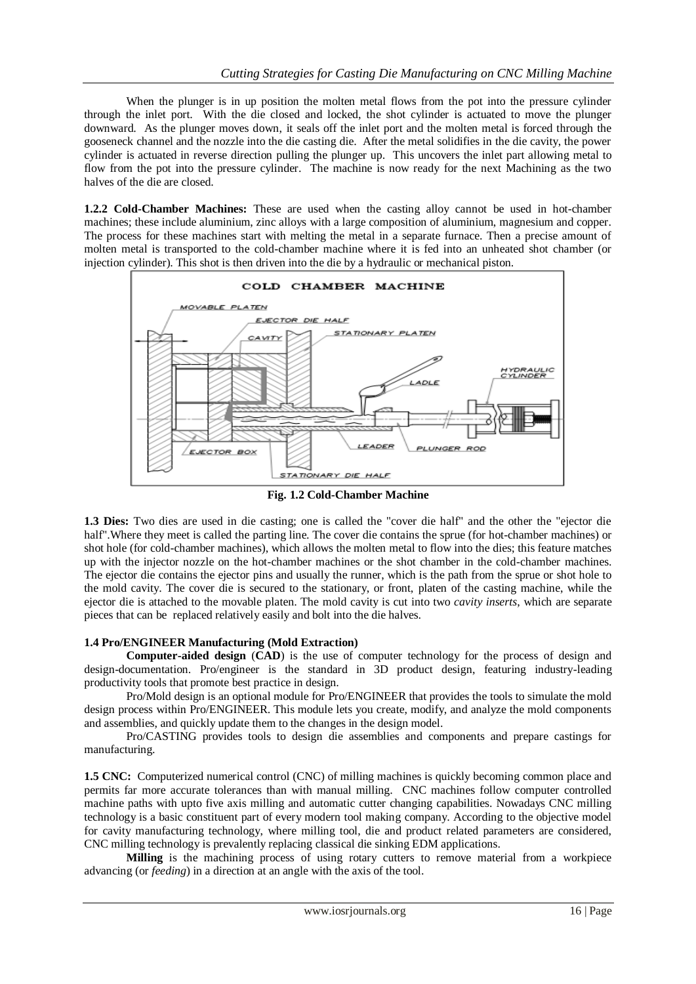When the plunger is in up position the molten metal flows from the pot into the pressure cylinder through the inlet port. With the die closed and locked, the shot cylinder is actuated to move the plunger downward. As the plunger moves down, it seals off the inlet port and the molten metal is forced through the gooseneck channel and the nozzle into the die casting die. After the metal solidifies in the die cavity, the power cylinder is actuated in reverse direction pulling the plunger up. This uncovers the inlet part allowing metal to flow from the pot into the pressure cylinder. The machine is now ready for the next Machining as the two halves of the die are closed.

**1.2.2 Cold-Chamber Machines:** These are used when the casting alloy cannot be used in hot-chamber machines; these include aluminium, zinc alloys with a large composition of aluminium, magnesium and copper. The process for these machines start with melting the metal in a separate furnace. Then a precise amount of molten metal is transported to the cold-chamber machine where it is fed into an unheated shot chamber (or injection cylinder). This shot is then driven into the die by a hydraulic or mechanical piston.



**Fig. 1.2 Cold-Chamber Machine**

**1.3 Dies:** Two dies are used in die casting; one is called the "cover die half" and the other the "ejector die half".Where they meet is called the [parting line.](http://en.wikipedia.org/wiki/Parting_line) The cover die contains the [sprue](http://en.wikipedia.org/wiki/Sprue_(manufacturing)) (for hot-chamber machines) or shot hole (for cold-chamber machines), which allows the molten metal to flow into the dies; this feature matches up with the injector nozzle on the hot-chamber machines or the shot chamber in the cold-chamber machines. The ejector die contains the ejector pins and usually the [runner,](http://en.wikipedia.org/wiki/Runner_(casting)) which is the path from the sprue or shot hole to the mold cavity. The cover die is secured to the stationary, or front, [platen](http://en.wikipedia.org/wiki/Platen) of the casting machine, while the ejector die is attached to the movable platen. The [mold cavity](http://en.wikipedia.org/wiki/Mold_cavity) is cut into two *cavity inserts*, which are separate pieces that can be replaced relatively easily and bolt into the die halves.

## **1.4 Pro/ENGINEER Manufacturing (Mold Extraction)**

**Computer-aided design** (**CAD**) is the use of computer technology for the process of design and design-documentation. Pro/engineer is the standard in 3D product design, featuring industry-leading productivity tools that promote best practice in design.

Pro/Mold design is an optional module for Pro/ENGINEER that provides the tools to simulate the mold design process within Pro/ENGINEER. This module lets you create, modify, and analyze the mold components and assemblies, and quickly update them to the changes in the design model.

Pro/CASTING provides tools to design die assemblies and components and prepare castings for manufacturing.

**1.5 CNC:** Computerized numerical control (CNC) of milling machines is quickly becoming common place and permits far more accurate tolerances than with manual milling. CNC machines follow computer controlled machine paths with upto five axis milling and automatic cutter changing capabilities. Nowadays CNC milling technology is a basic constituent part of every modern tool making company. According to the objective model for cavity manufacturing technology, where milling tool, die and product related parameters are considered, CNC milling technology is prevalently replacing classical die sinking EDM applications.

**Milling** is the [machining](http://en.wikipedia.org/wiki/Machining) process of using rotary [cutters](http://en.wikipedia.org/wiki/Milling_cutter) to remove material from a workpiece advancing (or *feeding*) in a direction at an angle with the axis of the tool.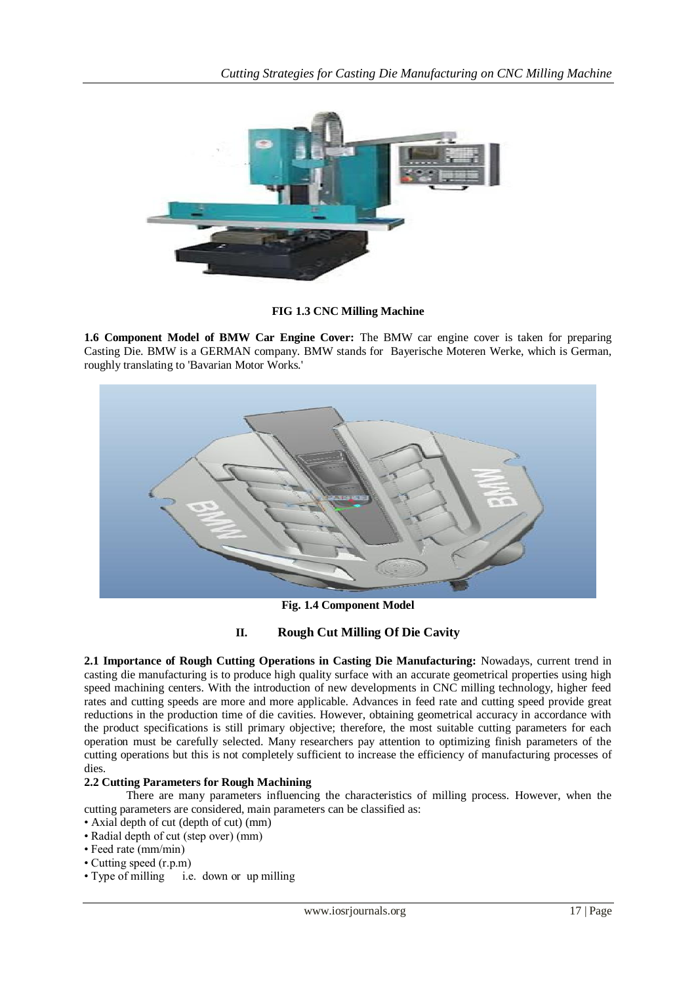

**FIG 1.3 CNC Milling Machine**

**1.6 Component Model of BMW Car Engine Cover:** The BMW car engine cover is taken for preparing Casting Die. BMW is a GERMAN company. BMW stands for Bayerische Moteren Werke, which is German, roughly translating to 'Bavarian Motor Works.'



**Fig. 1.4 Component Model**

## **II. Rough Cut Milling Of Die Cavity**

**2.1 Importance of Rough Cutting Operations in Casting Die Manufacturing:** Nowadays, current trend in casting die manufacturing is to produce high quality surface with an accurate geometrical properties using high speed machining centers. With the introduction of new developments in CNC milling technology, higher feed rates and cutting speeds are more and more applicable. Advances in feed rate and cutting speed provide great reductions in the production time of die cavities. However, obtaining geometrical accuracy in accordance with the product specifications is still primary objective; therefore, the most suitable cutting parameters for each operation must be carefully selected. Many researchers pay attention to optimizing finish parameters of the cutting operations but this is not completely sufficient to increase the efficiency of manufacturing processes of dies.

## **2.2 Cutting Parameters for Rough Machining**

There are many parameters influencing the characteristics of milling process. However, when the cutting parameters are considered, main parameters can be classified as:

- Axial depth of cut (depth of cut) (mm)
- Radial depth of cut (step over) (mm)
- Feed rate (mm/min)
- Cutting speed (r.p.m)
- Type of milling i.e. down or up milling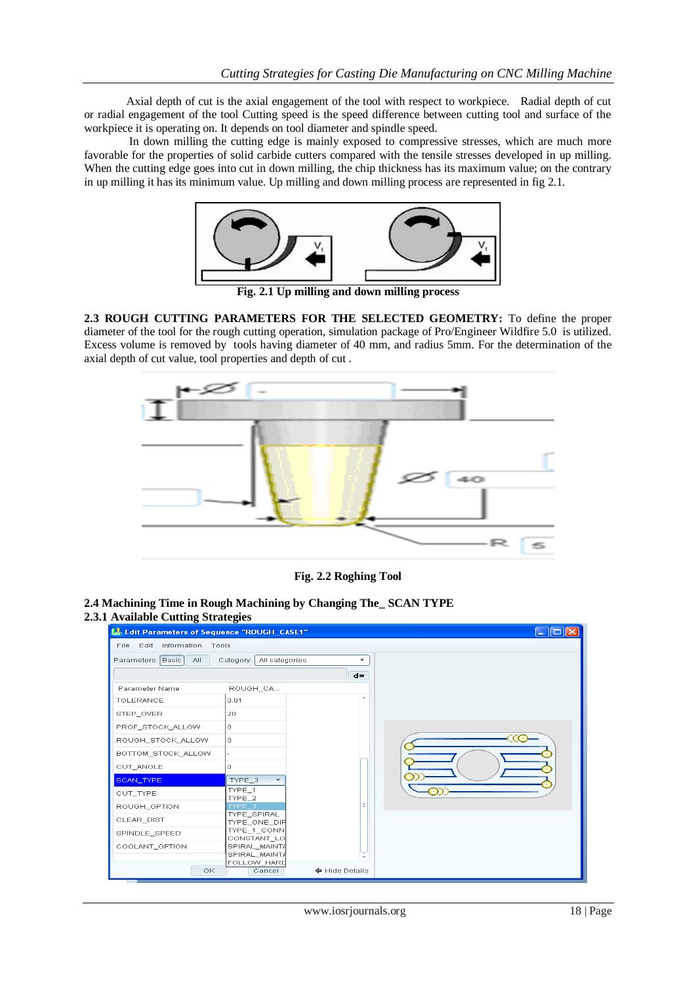Axial depth of cut is the axial engagement of the tool with respect to workpiece. Radial depth of cut or radial engagement of the tool Cutting speed is the speed difference between cutting tool and surface of the workpiece it is operating on. It depends on tool diameter and spindle speed.

 In down milling the cutting edge is mainly exposed to compressive stresses, which are much more favorable for the properties of solid carbide cutters compared with the tensile stresses developed in up milling. When the cutting edge goes into cut in down milling, the chip thickness has its maximum value; on the contrary in up milling it has its minimum value. Up milling and down milling process are represented in fig 2.1.



**Fig. 2.1 Up milling and down milling process**

**2.3 ROUGH CUTTING PARAMETERS FOR THE SELECTED GEOMETRY:** To define the proper diameter of the tool for the rough cutting operation, simulation package of Pro/Engineer Wildfire 5.0 is utilized. Excess volume is removed by tools having diameter of 40 mm, and radius 5mm. For the determination of the axial depth of cut value, tool properties and depth of cut .



**Fig. 2.2 Roghing Tool**

#### **2.4 Machining Time in Rough Machining by Changing The\_ SCAN TYPE 2.3.1 Available Cutting Strategies**

| <b>L.</b> Edit Parameters of Sequence "ROUGH_CASE1" |                              |                | ∥□<br>ı. |
|-----------------------------------------------------|------------------------------|----------------|----------|
| Edit Information Tools<br>File                      |                              |                |          |
| AII<br>Parameters Basic                             | Category: All categories     | $\cdot$        |          |
|                                                     |                              | $d =$          |          |
| Parameter Name                                      | ROUGH_CA                     |                |          |
| <b>TOLERANCE</b>                                    | 0.01                         |                |          |
| STEP OVER                                           | 20                           |                |          |
| PROF_STOCK_ALLOW                                    | n.                           |                |          |
| ROUGH_STOCK_ALLOW                                   | n.                           |                | Œ        |
| BOTTOM_STOCK_ALLOW                                  |                              |                |          |
| CUT ANGLE                                           | 0.                           |                |          |
| SCAN_TYPE                                           | TYPE_3<br>۰                  |                |          |
| CUT_TYPE                                            | TYPE 1<br>TYPE_2             |                |          |
| ROUGH_OPTION                                        | TYPE_3                       |                |          |
| CLEAR_DIST                                          | TYPE_SPIRAL<br>TYPE ONE DIR  |                |          |
| SPINDLE_SPEED                                       | TYPE_1_CONN                  |                |          |
| COOLANT_OPTION                                      | CONSTANT_LO<br>SPIRAL MAINTA |                |          |
|                                                     | SPIRAL MAINTA<br>FOLLOW_HARD |                |          |
| OK                                                  | Cancel                       | ← Hide Details |          |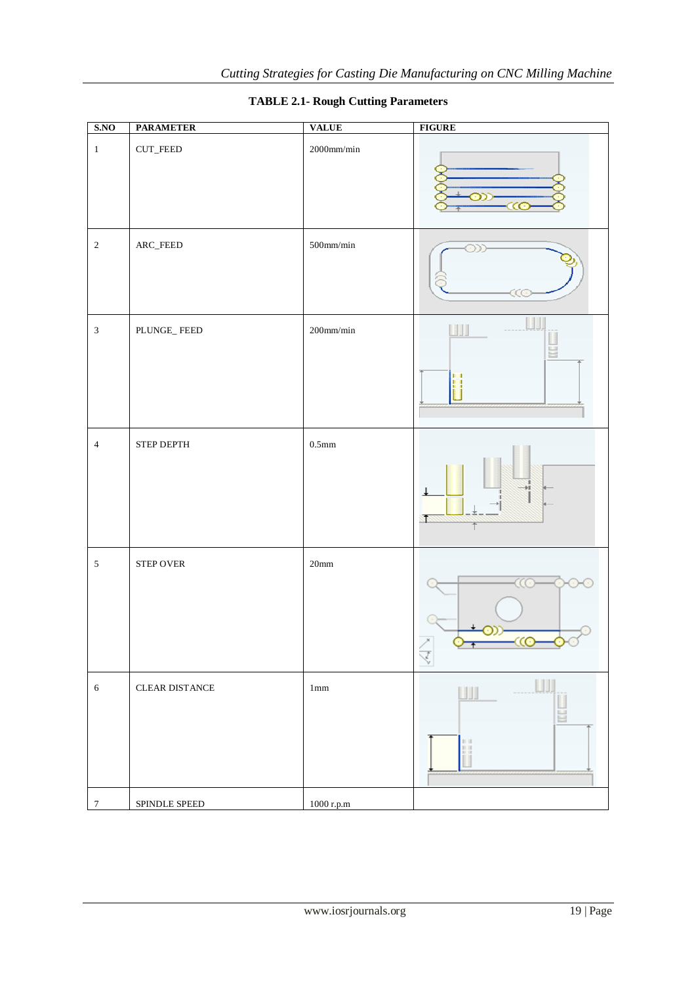| S.NO             | <b>PARAMETER</b>           | <b>VALUE</b>          | <b>FIGURE</b>                      |
|------------------|----------------------------|-----------------------|------------------------------------|
| $\,1\,$          | ${\rm CUT\_FEED}$          | $2000\mathrm{mm/min}$ |                                    |
| $\sqrt{2}$       | $\mbox{{\sc ARC\_FEED}}$   | $500\mathrm{mm/min}$  |                                    |
| $\overline{3}$   | $\sf PLUNGE\_FEED$         | $200\mathrm{mm/min}$  | 81 I<br>E<br>H                     |
| $\overline{4}$   | ${\it STEP}\, {\it DEPTH}$ | $0.5\mathrm{mm}$      |                                    |
| $\sqrt{5}$       | ${\tt STEP}$ OVER          | $20 \mathrm{mm}$      | <u>((O</u><br>$ -$<br>₹            |
| $\sqrt{6}$       | ${\rm CLEAR}$ DISTANCE     | $1\mathrm{mm}$        | <b>LIJ</b><br>ШJ<br><b>EE</b><br>H |
| $\boldsymbol{7}$ | SPINDLE SPEED              | 1000 r.p.m            |                                    |

## **TABLE 2.1- Rough Cutting Parameters**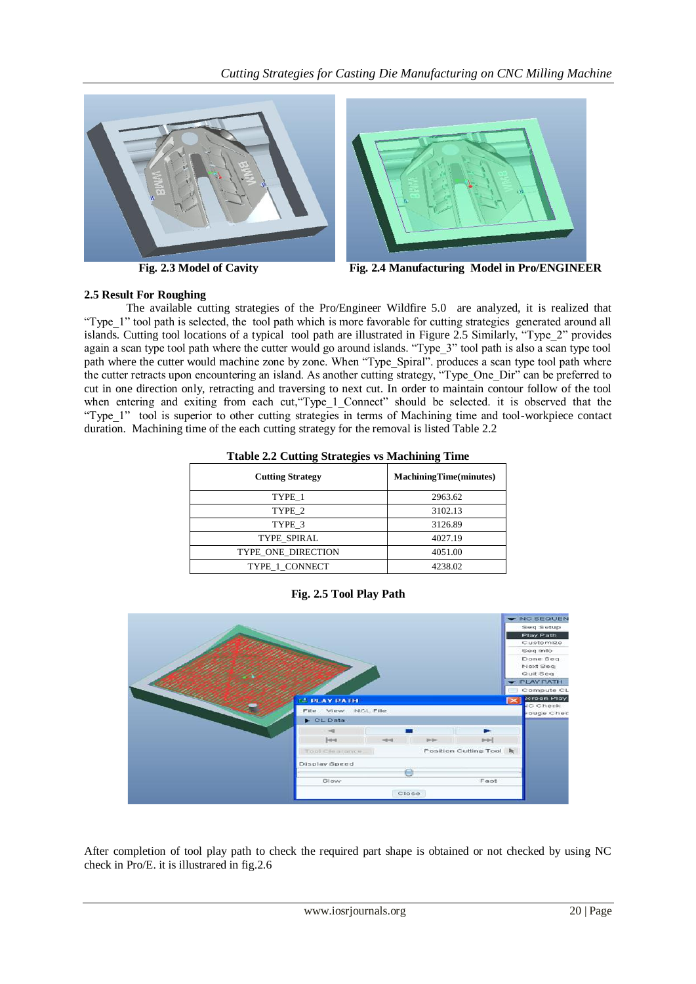





 **Fig. 2.3 Model of Cavity Fig. 2.4 Manufacturing Model in Pro/ENGINEER**

## **2.5 Result For Roughing**

The available cutting strategies of the Pro/Engineer Wildfire 5.0 are analyzed, it is realized that "Type 1" tool path is selected, the tool path which is more favorable for cutting strategies generated around all islands. Cutting tool locations of a typical tool path are illustrated in Figure 2.5 Similarly, "Type\_2" provides again a scan type tool path where the cutter would go around islands. "Type\_3" tool path is also a scan type tool path where the cutter would machine zone by zone. When "Type\_Spiral". produces a scan type tool path where the cutter retracts upon encountering an island. As another cutting strategy, "Type\_One\_Dir" can be preferred to cut in one direction only, retracting and traversing to next cut. In order to maintain contour follow of the tool when entering and exiting from each cut, "Type 1 Connect" should be selected. it is observed that the "Type 1" tool is superior to other cutting strategies in terms of Machining time and tool-workpiece contact duration. Machining time of the each cutting strategy for the removal is listed Table 2.2

| <b>Cutting Strategy</b> | <b>MachiningTime(minutes)</b> |
|-------------------------|-------------------------------|
| TYPE 1                  | 2963.62                       |
| TYPE 2                  | 3102.13                       |
| TYPE 3                  | 3126.89                       |
| TYPE SPIRAL             | 4027.19                       |
| TYPE ONE DIRECTION      | 4051.00                       |
| TYPE 1 CONNECT          | 4238.02                       |

## **Fig. 2.5 Tool Play Path**



After completion of tool play path to check the required part shape is obtained or not checked by using NC check in Pro/E. it is illustrared in fig.2.6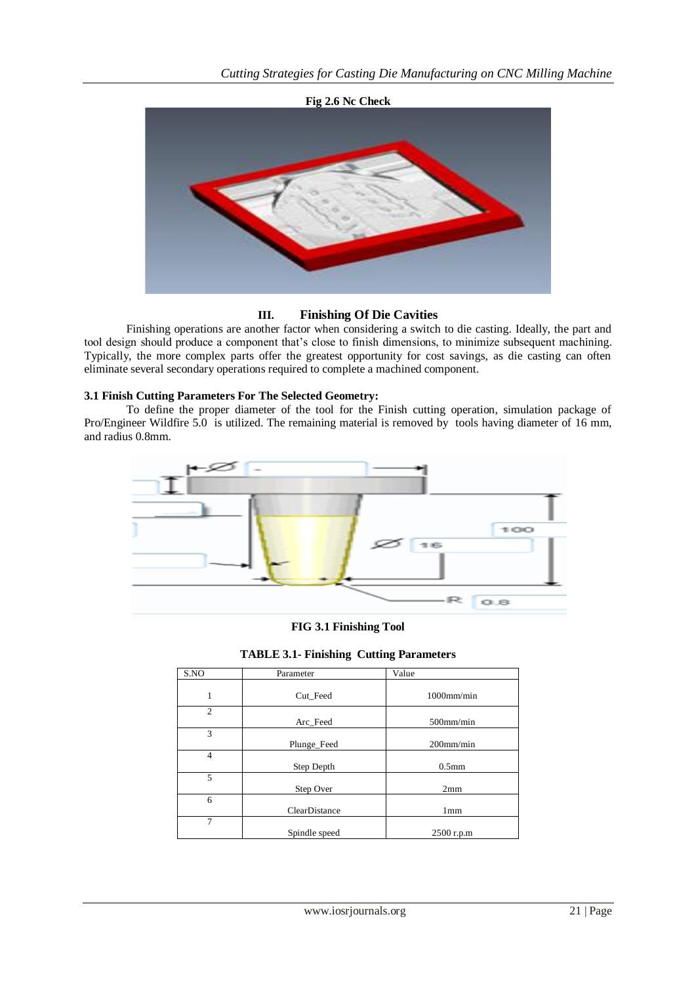

## **III. Finishing Of Die Cavities**

Finishing operations are another factor when considering a switch to die casting. Ideally, the part and tool design should produce a component that's close to finish dimensions, to minimize subsequent machining. Typically, the more complex parts offer the greatest opportunity for cost savings, as die casting can often eliminate several secondary operations required to complete a machined component.

#### **3.1 Finish Cutting Parameters For The Selected Geometry:**

To define the proper diameter of the tool for the Finish cutting operation, simulation package of Pro/Engineer Wildfire 5.0 is utilized. The remaining material is removed by tools having diameter of 16 mm, and radius 0.8mm.



**FIG 3.1 Finishing Tool**

| <b>TABLE 3.1- Finishing Cutting Parameters</b> |  |
|------------------------------------------------|--|
|------------------------------------------------|--|

| S.NO           | Parameter     | Value             |
|----------------|---------------|-------------------|
| 1              | Cut Feed      | $1000$ mm/min     |
| $\overline{c}$ | Arc_Feed      | $500$ mm/min      |
| 3              | Plunge_Feed   | $200$ mm/min      |
| 4              | Step Depth    | 0.5 <sub>mm</sub> |
| 5              | Step Over     | 2mm               |
| 6              | ClearDistance | 1mm               |
| 7              | Spindle speed | $2500$ r.p.m      |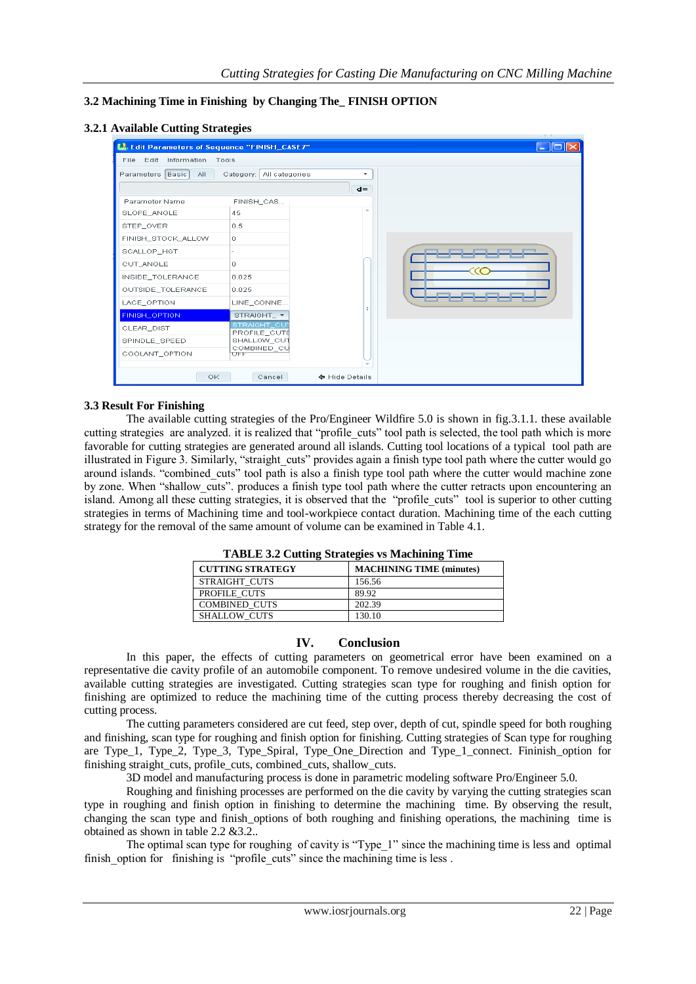**3.2 Machining Time in Finishing by Changing The\_ FINISH OPTION** 

#### **3.2.1 Available Cutting Strategies**

| Edit Parameters of Sequence "FINISH_CASE7" |                              |                |  |
|--------------------------------------------|------------------------------|----------------|--|
| Edit<br>Information Tools<br>File          |                              |                |  |
| Parameters Basic<br>AIL                    | Category:   All categories   | ۰              |  |
|                                            |                              | $d =$          |  |
| Parameter Name                             | FINISH_CAS                   |                |  |
| SLOPE_ANGLE                                | 45                           | ٠              |  |
| STEP_OVER                                  | 0.5                          |                |  |
| FINISH_STOCK_ALLOW                         | $\Omega$                     |                |  |
| SCALLOP_HGT                                |                              |                |  |
| CUT_ANGLE                                  | 0                            |                |  |
| INSIDE_TOLERANCE                           | 0.025                        |                |  |
| OUTSIDE_TOLERANCE                          | 0.025                        |                |  |
| LACE_OPTION                                | LINE_CONNE                   |                |  |
| <b>FINISH_OPTION</b>                       | STRAIGHT_ *                  |                |  |
| CLEAR_DIST                                 | STRAIGHT CUT<br>PROFILE CUTS |                |  |
| SPINDLE_SPEED                              | SHALLOW_CUT                  |                |  |
| COOLANT_OPTION                             | COMBINED_CU<br>UFF           |                |  |
|                                            |                              |                |  |
| <b>OK</b>                                  | Cancel                       | ← Hide Details |  |

#### **3.3 Result For Finishing**

The available cutting strategies of the Pro/Engineer Wildfire 5.0 is shown in fig.3.1.1. these available cutting strategies are analyzed. it is realized that "profile cuts" tool path is selected, the tool path which is more favorable for cutting strategies are generated around all islands. Cutting tool locations of a typical tool path are illustrated in Figure 3. Similarly, "straight\_cuts" provides again a finish type tool path where the cutter would go around islands. "combined\_cuts" tool path is also a finish type tool path where the cutter would machine zone by zone. When "shallow cuts". produces a finish type tool path where the cutter retracts upon encountering an island. Among all these cutting strategies, it is observed that the "profile\_cuts" tool is superior to other cutting strategies in terms of Machining time and tool-workpiece contact duration. Machining time of the each cutting strategy for the removal of the same amount of volume can be examined in Table 4.1.

| TADLE 3.2 Cutting Strategies vs Machining Thine |                                 |  |
|-------------------------------------------------|---------------------------------|--|
| <b>CUTTING STRATEGY</b>                         | <b>MACHINING TIME (minutes)</b> |  |
| STRAIGHT CUTS                                   | 156.56                          |  |
| PROFILE CUTS                                    | 89.92                           |  |
| <b>COMBINED CUTS</b>                            | 202.39                          |  |
| <b>SHALLOW CUTS</b>                             | 130.10                          |  |

**TABLE 3.2 Cutting Strategies vs Machining Time**

## **IV. Conclusion**

 In this paper, the effects of cutting parameters on geometrical error have been examined on a representative die cavity profile of an automobile component. To remove undesired volume in the die cavities, available cutting strategies are investigated. Cutting strategies scan type for roughing and finish option for finishing are optimized to reduce the machining time of the cutting process thereby decreasing the cost of cutting process.

The cutting parameters considered are cut feed, step over, depth of cut, spindle speed for both roughing and finishing, scan type for roughing and finish option for finishing. Cutting strategies of Scan type for roughing are Type 1, Type 2, Type 3, Type Spiral, Type One Direction and Type 1 connect. Fininish option for finishing straight cuts, profile cuts, combined cuts, shallow cuts.

3D model and manufacturing process is done in parametric modeling software Pro/Engineer 5.0.

Roughing and finishing processes are performed on the die cavity by varying the cutting strategies scan type in roughing and finish option in finishing to determine the machining time. By observing the result, changing the scan type and finish\_options of both roughing and finishing operations, the machining time is obtained as shown in table 2.2 &3.2..

The optimal scan type for roughing of cavity is "Type 1" since the machining time is less and optimal finish option for finishing is "profile cuts" since the machining time is less .